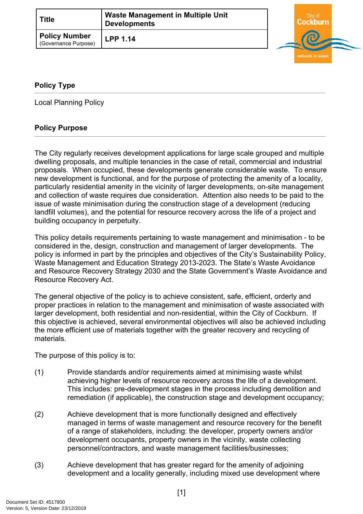| <b>Title</b>                                 | <b>Waste Management in Multiple Unit</b><br><b>Developments</b> | City of |
|----------------------------------------------|-----------------------------------------------------------------|---------|
| <b>Policy Number</b><br>(Governance Purpose) | <b>LPP 1.14</b>                                                 |         |

wetlands to waves

## <span id="page-0-0"></span>**[Policy Type](#page-0-0)**

Local Planning Policy

## **Policy Purpose**

The City regularly receives development applications for large scale grouped and multiple dwelling proposals, and multiple tenancies in the case of retail, commercial and industrial proposals. When occupied, these developments generate considerable waste. To ensure new development is functional, and for the purpose of protecting the amenity of a locality, particularly residential amenity in the vicinity of larger developments, on-site management and collection of waste requires due consideration. Attention also needs to be paid to the issue of waste minimisation during the construction stage of a development (reducing landfill volumes), and the potential for resource recovery across the life of a project and building occupancy in perpetuity.

This policy details requirements pertaining to waste management and minimisation - to be considered in the, design, construction and management of larger developments. The policy is informed in part by the principles and objectives of the City's Sustainability Policy, Waste Management and Education Strategy 2013-2023. The State's Waste Avoidance and Resource Recovery Strategy 2030 and the State Government's Waste Avoidance and Resource Recovery Act.

The general objective of the policy is to achieve consistent, safe, efficient, orderly and proper practices in relation to the management and minimisation of waste associated with larger development, both residential and non-residential, within the City of Cockburn. If this objective is achieved, several environmental objectives will also be achieved including the more efficient use of materials together with the greater recovery and recycling of materials.

The purpose of this policy is to:

- (1) Provide standards and/or requirements aimed at minimising waste whilst achieving higher levels of resource recovery across the life of a development. This includes: pre-development stages in the process including demolition and remediation (if applicable), the construction stage and development occupancy;
- (2) Achieve development that is more functionally designed and effectively managed in terms of waste management and resource recovery for the benefit of a range of stakeholders, including: the developer, property owners and/or development occupants, property owners in the vicinity, waste collecting personnel/contractors, and waste management facilities/businesses;
- (3) Achieve development that has greater regard for the amenity of adjoining development and a locality generally, including mixed use development where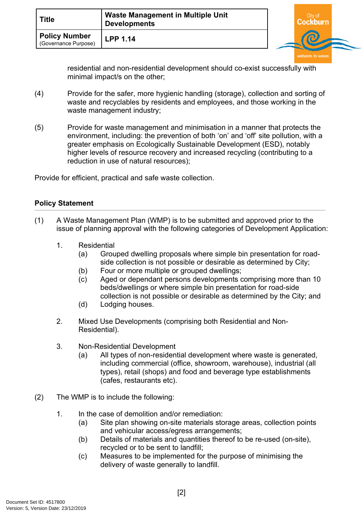| <b>Title</b>                          | <b>Waste Management in Multiple Unit</b><br><b>Developments</b> | City of<br>:ockburn |  |
|---------------------------------------|-----------------------------------------------------------------|---------------------|--|
| Policy Number<br>(Governance Purpose) | <b>LPP 1.14</b>                                                 |                     |  |

residential and non-residential development should co-exist successfully with minimal impact/s on the other;

- (4) Provide for the safer, more hygienic handling (storage), collection and sorting of waste and recyclables by residents and employees, and those working in the waste management industry;
- (5) Provide for waste management and minimisation in a manner that protects the environment, including: the prevention of both 'on' and 'off' site pollution, with a greater emphasis on Ecologically Sustainable Development (ESD), notably higher levels of resource recovery and increased recycling (contributing to a reduction in use of natural resources);

Provide for efficient, practical and safe waste collection.

## **Policy Statement**

- (1) A Waste Management Plan (WMP) is to be submitted and approved prior to the issue of planning approval with the following categories of Development Application:
	- 1. Residential
		- (a) Grouped dwelling proposals where simple bin presentation for roadside collection is not possible or desirable as determined by City;
		- (b) Four or more multiple or grouped dwellings;
		- (c) Aged or dependant persons developments comprising more than 10 beds/dwellings or where simple bin presentation for road-side collection is not possible or desirable as determined by the City; and
		- (d) Lodging houses.
	- 2. Mixed Use Developments (comprising both Residential and Non-Residential).
	- 3. Non-Residential Development
		- (a) All types of non-residential development where waste is generated, including commercial (office, showroom, warehouse), industrial (all types), retail (shops) and food and beverage type establishments (cafes, restaurants etc).
- (2) The WMP is to include the following:
	- 1. In the case of demolition and/or remediation:
		- (a) Site plan showing on-site materials storage areas, collection points and vehicular access/egress arrangements;
		- (b) Details of materials and quantities thereof to be re-used (on-site), recycled or to be sent to landfill;
		- (c) Measures to be implemented for the purpose of minimising the delivery of waste generally to landfill.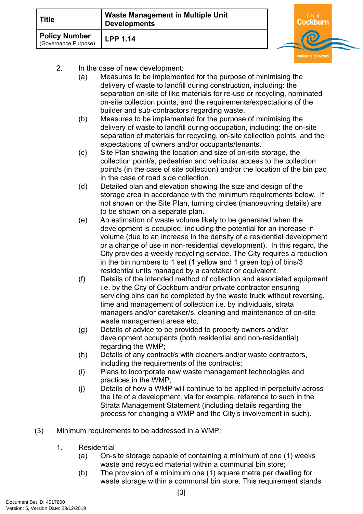| <b>Title</b>                                 | <b>Waste Management in Multiple Unit</b><br><b>Developments</b> | City of<br>:ockburn |  |
|----------------------------------------------|-----------------------------------------------------------------|---------------------|--|
| <b>Policy Number</b><br>(Governance Purpose) | <b>LPP 1.14</b>                                                 |                     |  |

- 2. In the case of new development:
	- (a) Measures to be implemented for the purpose of minimising the delivery of waste to landfill during construction, including: the separation on-site of like materials for re-use or recycling, nominated on-site collection points, and the requirements/expectations of the builder and sub-contractors regarding waste.
	- (b) Measures to be implemented for the purpose of minimising the delivery of waste to landfill during occupation, including: the on-site separation of materials for recycling, on-site collection points, and the expectations of owners and/or occupants/tenants.
	- (c) Site Plan showing the location and size of on-site storage, the collection point/s, pedestrian and vehicular access to the collection point/s (in the case of site collection) and/or the location of the bin pad in the case of road side collection.
	- (d) Detailed plan and elevation showing the size and design of the storage area in accordance with the minimum requirements below. If not shown on the Site Plan, turning circles (manoeuvring details) are to be shown on a separate plan.
	- (e) An estimation of waste volume likely to be generated when the development is occupied, including the potential for an increase in volume (due to an increase in the density of a residential development or a change of use in non-residential development). In this regard, the City provides a weekly recycling service. The City requires a reduction in the bin numbers to 1 set (1 yellow and 1 green top) of bins/3 residential units managed by a caretaker or equivalent.
	- (f) Details of the intended method of collection and associated equipment i.e. by the City of Cockburn and/or private contractor ensuring servicing bins can be completed by the waste truck without reversing, time and management of collection i.e. by individuals, strata managers and/or caretaker/s, cleaning and maintenance of on-site waste management areas etc;
	- (g) Details of advice to be provided to property owners and/or development occupants (both residential and non-residential) regarding the WMP;
	- (h) Details of any contract/s with cleaners and/or waste contractors, including the requirements of the contract/s;
	- (i) Plans to incorporate new waste management technologies and practices in the WMP;
	- (j) Details of how a WMP will continue to be applied in perpetuity across the life of a development, via for example, reference to such in the Strata Management Statement (including details regarding the process for changing a WMP and the City's involvement in such).
- (3) Minimum requirements to be addressed in a WMP:
	- 1. Residential
		- (a) On-site storage capable of containing a minimum of one (1) weeks waste and recycled material within a communal bin store;
		- (b) The provision of a minimum one (1) square metre per dwelling for waste storage within a communal bin store. This requirement stands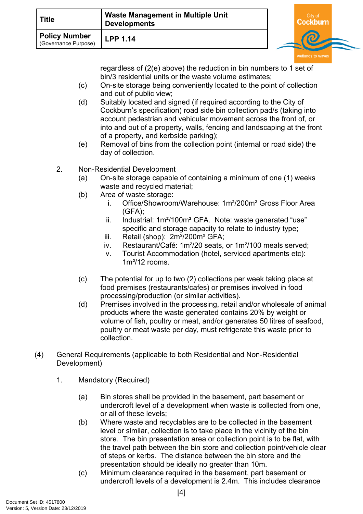| <b>Title</b>                                 | <b>Waste Management in Multiple Unit</b><br><b>Developments</b> | Citv o |  |
|----------------------------------------------|-----------------------------------------------------------------|--------|--|
| <b>Policy Number</b><br>(Governance Purpose) | <b>LPP 1.14</b>                                                 |        |  |

regardless of (2(e) above) the reduction in bin numbers to 1 set of bin/3 residential units or the waste volume estimates;

- (c) On-site storage being conveniently located to the point of collection and out of public view;
- (d) Suitably located and signed (if required according to the City of Cockburn's specification) road side bin collection pad/s (taking into account pedestrian and vehicular movement across the front of, or into and out of a property, walls, fencing and landscaping at the front of a property, and kerbside parking);
- (e) Removal of bins from the collection point (internal or road side) the day of collection.
- 2. Non-Residential Development
	- (a) On-site storage capable of containing a minimum of one (1) weeks waste and recycled material;
	- (b) Area of waste storage:
		- i. Office/Showroom/Warehouse: 1m²/200m² Gross Floor Area (GFA);
		- ii. Industrial: 1m<sup>2</sup>/100m<sup>2</sup> GFA. Note: waste generated "use" specific and storage capacity to relate to industry type;
		- iii. Retail (shop): 2m<sup>2</sup>/200m<sup>2</sup> GFA;
		- iv. Restaurant/Café: 1m²/20 seats, or 1m²/100 meals served;
		- v. Tourist Accommodation (hotel, serviced apartments etc): 1m²/12 rooms.
	- (c) The potential for up to two (2) collections per week taking place at food premises (restaurants/cafes) or premises involved in food processing/production (or similar activities).
	- (d) Premises involved in the processing, retail and/or wholesale of animal products where the waste generated contains 20% by weight or volume of fish, poultry or meat, and/or generates 50 litres of seafood, poultry or meat waste per day, must refrigerate this waste prior to collection.
- (4) General Requirements (applicable to both Residential and Non-Residential Development)
	- 1. Mandatory (Required)
		- (a) Bin stores shall be provided in the basement, part basement or undercroft level of a development when waste is collected from one, or all of these levels;
		- (b) Where waste and recyclables are to be collected in the basement level or similar, collection is to take place in the vicinity of the bin store. The bin presentation area or collection point is to be flat, with the travel path between the bin store and collection point/vehicle clear of steps or kerbs. The distance between the bin store and the presentation should be ideally no greater than 10m.
		- (c) Minimum clearance required in the basement, part basement or undercroft levels of a development is 2.4m. This includes clearance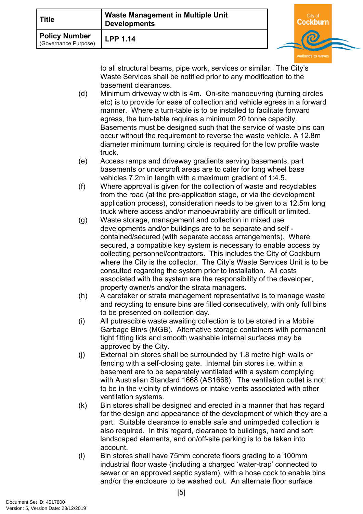| Title                                        | <b>Waste Management in Multiple Unit</b><br><b>Developments</b> |   |  |
|----------------------------------------------|-----------------------------------------------------------------|---|--|
| <b>Policy Number</b><br>(Governance Purpose) | <b>LPP 1.14</b>                                                 | ౚ |  |

to all structural beams, pipe work, services or similar. The City's Waste Services shall be notified prior to any modification to the basement clearances.

- (d) Minimum driveway width is 4m. On-site manoeuvring (turning circles etc) is to provide for ease of collection and vehicle egress in a forward manner. Where a turn-table is to be installed to facilitate forward egress, the turn-table requires a minimum 20 tonne capacity. Basements must be designed such that the service of waste bins can occur without the requirement to reverse the waste vehicle. A 12.8m diameter minimum turning circle is required for the low profile waste truck.
- (e) Access ramps and driveway gradients serving basements, part basements or undercroft areas are to cater for long wheel base vehicles 7.2m in length with a maximum gradient of 1:4.5.
- (f) Where approval is given for the collection of waste and recyclables from the road (at the pre-application stage, or via the development application process), consideration needs to be given to a 12.5m long truck where access and/or manoeuvrability are difficult or limited.
- (g) Waste storage, management and collection in mixed use developments and/or buildings are to be separate and self contained/secured (with separate access arrangements). Where secured, a compatible key system is necessary to enable access by collecting personnel/contractors. This includes the City of Cockburn where the City is the collector. The City's Waste Services Unit is to be consulted regarding the system prior to installation. All costs associated with the system are the responsibility of the developer, property owner/s and/or the strata managers.
- (h) A caretaker or strata management representative is to manage waste and recycling to ensure bins are filled consecutively, with only full bins to be presented on collection day.
- (i) All putrescible waste awaiting collection is to be stored in a Mobile Garbage Bin/s (MGB). Alternative storage containers with permanent tight fitting lids and smooth washable internal surfaces may be approved by the City.
- (j) External bin stores shall be surrounded by 1.8 metre high walls or fencing with a self-closing gate. Internal bin stores i.e. within a basement are to be separately ventilated with a system complying with Australian Standard 1668 (AS1668). The ventilation outlet is not to be in the vicinity of windows or intake vents associated with other ventilation systems.
- (k) Bin stores shall be designed and erected in a manner that has regard for the design and appearance of the development of which they are a part. Suitable clearance to enable safe and unimpeded collection is also required. In this regard, clearance to buildings, hard and soft landscaped elements, and on/off-site parking is to be taken into account.
- (l) Bin stores shall have 75mm concrete floors grading to a 100mm industrial floor waste (including a charged 'water-trap' connected to sewer or an approved septic system), with a hose cock to enable bins and/or the enclosure to be washed out. An alternate floor surface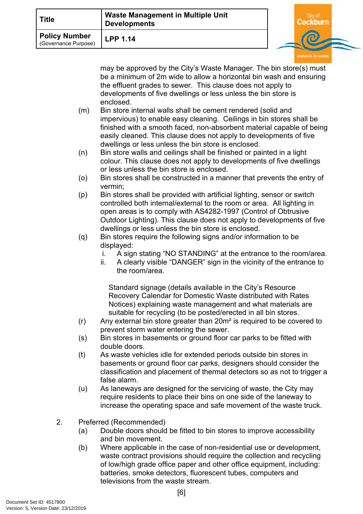| Title                                 | <b>Waste Management in Multiple Unit</b><br><b>Developments</b> | City of |  |
|---------------------------------------|-----------------------------------------------------------------|---------|--|
| Policy Number<br>(Governance Purpose) | <b>LPP 1.14</b>                                                 |         |  |

may be approved by the City's Waste Manager. The bin store(s) must be a minimum of 2m wide to allow a horizontal bin wash and ensuring the effluent grades to sewer. This clause does not apply to developments of five dwellings or less unless the bin store is enclosed.

- (m) Bin store internal walls shall be cement rendered (solid and impervious) to enable easy cleaning. Ceilings in bin stores shall be finished with a smooth faced, non-absorbent material capable of being easily cleaned. This clause does not apply to developments of five dwellings or less unless the bin store is enclosed.
- (n) Bin store walls and ceilings shall be finished or painted in a light colour. This clause does not apply to developments of five dwellings or less unless the bin store is enclosed.
- (o) Bin stores shall be constructed in a manner that prevents the entry of vermin;
- (p) Bin stores shall be provided with artificial lighting, sensor or switch controlled both internal/external to the room or area. All lighting in open areas is to comply with AS4282-1997 (Control of Obtrusive Outdoor Lighting). This clause does not apply to developments of five dwellings or less unless the bin store is enclosed.
- (q) Bin stores require the following signs and/or information to be displayed:
	- i. A sign stating "NO STANDING" at the entrance to the room/area.
	- ii. A clearly visible "DANGER" sign in the vicinity of the entrance to the room/area.

Standard signage (details available in the City's Resource Recovery Calendar for Domestic Waste distributed with Rates Notices) explaining waste management and what materials are suitable for recycling (to be posted/erected in all bin stores.

- (r) Any external bin store greater than 20m² is required to be covered to prevent storm water entering the sewer.
- (s) Bin stores in basements or ground floor car parks to be fitted with double doors.
- (t) As waste vehicles idle for extended periods outside bin stores in basements or ground floor car parks, designers should consider the classification and placement of thermal detectors so as not to trigger a false alarm.
- (u) As laneways are designed for the servicing of waste, the City may require residents to place their bins on one side of the laneway to increase the operating space and safe movement of the waste truck.
- 2. Preferred (Recommended)
	- (a) Double doors should be fitted to bin stores to improve accessibility and bin movement.
	- (b) Where applicable in the case of non-residential use or development, waste contract provisions should require the collection and recycling of low/high grade office paper and other office equipment, including: batteries, smoke detectors, fluorescent tubes, computers and televisions from the waste stream.